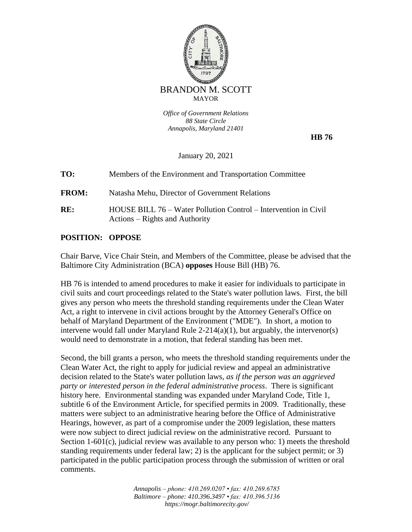

*Office of Government Relations 88 State Circle Annapolis, Maryland 21401*

 **HB 76**

January 20, 2021

| TO:          | Members of the Environment and Transportation Committee                                           |
|--------------|---------------------------------------------------------------------------------------------------|
| <b>FROM:</b> | Natasha Mehu, Director of Government Relations                                                    |
| RE:          | HOUSE BILL 76 – Water Pollution Control – Intervention in Civil<br>Actions – Rights and Authority |

## **POSITION: OPPOSE**

Chair Barve, Vice Chair Stein, and Members of the Committee, please be advised that the Baltimore City Administration (BCA) **opposes** House Bill (HB) 76.

HB 76 is intended to amend procedures to make it easier for individuals to participate in civil suits and court proceedings related to the State's water pollution laws. First, the bill gives any person who meets the threshold standing requirements under the Clean Water Act, a right to intervene in civil actions brought by the Attorney General's Office on behalf of Maryland Department of the Environment ("MDE"). In short, a motion to intervene would fall under Maryland Rule 2-214(a)(1), but arguably, the intervenor(s) would need to demonstrate in a motion, that federal standing has been met.

Second, the bill grants a person, who meets the threshold standing requirements under the Clean Water Act, the right to apply for judicial review and appeal an administrative decision related to the State's water pollution laws, *as if the person was an aggrieved party or interested person in the federal administrative process*. There is significant history here. Environmental standing was expanded under Maryland Code, Title 1, subtitle 6 of the Environment Article, for specified permits in 2009. Traditionally, these matters were subject to an administrative hearing before the Office of Administrative Hearings, however, as part of a compromise under the 2009 legislation, these matters were now subject to direct judicial review on the administrative record. Pursuant to Section 1-601(c), judicial review was available to any person who: 1) meets the threshold standing requirements under federal law; 2) is the applicant for the subject permit; or 3) participated in the public participation process through the submission of written or oral comments.

> *Annapolis – phone: 410.269.0207 • fax: 410.269.6785 Baltimore – phone: 410.396.3497 • fax: 410.396.5136 https://mogr.baltimorecity.gov/*